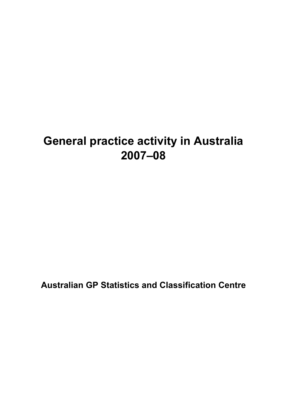# **General practice activity in Australia 2007–08**

**Australian GP Statistics and Classification Centre**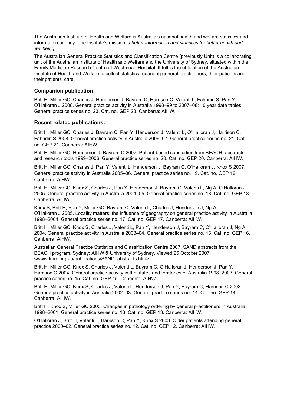The Australian Institute of Health and Welfare is Australia's national health and welfare statistics and information agency. The Institute's mission is *better information and statistics for better health and wellbeing*.

The Australian General Practice Statistics and Classification Centre (previously Unit) is a collaborating unit of the Australian Institute of Health and Welfare and the University of Sydney, situated within the Family Medicine Research Centre at Westmead Hospital. It fulfils the obligation of the Australian Institute of Health and Welfare to collect statistics regarding general practitioners, their patients and their patients' care.

#### **Companion publication:**

Britt H, Miller GC, Charles J, Henderson J, Bayram C, Harrison C, Valenti L, Fahridin S, Pan Y, O'Halloran J 2008. General practice activity in Australia 1998–99 to 2007–08: 10 year data tables. General practice series no. 23. Cat. no. GEP 23. Canberra: AIHW.

#### **Recent related publications:**

Britt H, Miller GC, Charles J, Bayram C, Pan Y, Henderson J, Valenti L, O'Halloran J, Harrison C, Fahridin S 2008. General practice activity in Australia 2006–07. General practice series no. 21. Cat. no. GEP 21. Canberra: AIHW.

Britt H, Miller GC, Henderson J, Bayram C 2007. Patient-based substudies from BEACH: abstracts and research tools 1999–2006. General practice series no. 20. Cat. no. GEP 20. Canberra: AIHW.

Britt H, Miller GC, Charles J, Pan Y, Valenti L, Henderson J, Bayram C, O'Halloran J, Knox S 2007. General practice activity in Australia 2005–06. General practice series no. 19. Cat. no. GEP 19. Canberra: AIHW.

Britt H, Miller GC, Knox S, Charles J, Pan Y, Henderson J, Bayram C, Valenti L, Ng A, O'Halloran J 2005. General practice activity in Australia 2004–05. General practice series no. 18. Cat. no. GEP 18. Canberra: AIHW.

Knox S, Britt H, Pan Y, Miller GC, Bayram C, Valenti L, Charles J, Henderson J, Ng A, O'Halloran J 2005. Locality matters: the influence of geography on general practice activity in Australia 1998–2004. General practice series no. 17. Cat. no. GEP 17. Canberra: AIHW.

Britt H, Miller GC, Knox S, Charles J, Valenti L, Pan Y, Henderson J, Bayram C, O'Halloran J, Ng A 2004. General practice activity in Australia 2003–04. General practice series no. 16. Cat. no. GEP 16. Canberra: AIHW.

Australian General Practice Statistics and Classification Centre 2007. SAND abstracts from the BEACH program. Sydney: AIHW & University of Sydney. Viewed 25 October 2007, <www.fmrc.org.au/publications/SAND\_abstracts.htm>.

Britt H, Miller GC, Knox S, Charles J, Valenti L, Bayram C, O'Halloran J, Henderson J, Pan Y, Harrison C 2004. General practice activity in the states and territories of Australia 1998–2003. General practice series no. 15. Cat. no. GEP 15. Canberra: AIHW.

Britt H, Miller GC, Knox S, Charles J, Valenti L, Henderson J, Pan Y, Bayram C, Harrison C 2003. General practice activity in Australia 2002–03. General practice series no. 14. Cat. no. GEP 14. Canberra: AIHW.

Britt H, Knox S, Miller GC 2003. Changes in pathology ordering by general practitioners in Australia, 1998–2001. General practice series no. 13. Cat. no. GEP 13. Canberra: AIHW.

O'Halloran J, Britt H, Valenti L, Harrison C, Pan Y, Knox S 2003. Older patients attending general practice 2000–02. General practice series no. 12. Cat. no. GEP 12. Canberra: AIHW.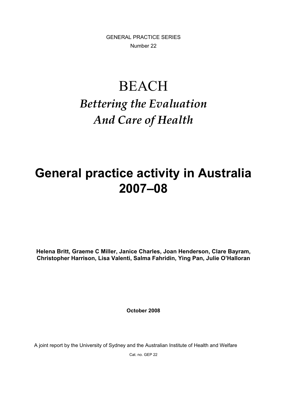GENERAL PRACTICE SERIES Number 22

# BEACH *Bettering the Evaluation And Care of Health*

# **General practice activity in Australia 2007–08**

**Helena Britt, Graeme C Miller, Janice Charles, Joan Henderson, Clare Bayram, Christopher Harrison, Lisa Valenti, Salma Fahridin, Ying Pan, Julie O'Halloran**

**October 2008** 

A joint report by the University of Sydney and the Australian Institute of Health and Welfare

Cat. no. GEP 22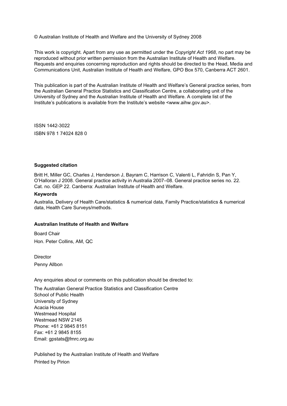© Australian Institute of Health and Welfare and the University of Sydney 2008

This work is copyright. Apart from any use as permitted under the *Copyright Act 1968*, no part may be reproduced without prior written permission from the Australian Institute of Health and Welfare. Requests and enquiries concerning reproduction and rights should be directed to the Head, Media and Communications Unit, Australian Institute of Health and Welfare, GPO Box 570, Canberra ACT 2601.

This publication is part of the Australian Institute of Health and Welfare's General practice series, from the Australian General Practice Statistics and Classification Centre, a collaborating unit of the University of Sydney and the Australian Institute of Health and Welfare. A complete list of the Institute's publications is available from the Institute's website <www.aihw.gov.au>.

ISSN 1442-3022 ISBN 978 1 74024 828 0

#### **Suggested citation**

Britt H, Miller GC, Charles J, Henderson J, Bayram C, Harrison C, Valenti L, Fahridin S, Pan Y, O'Halloran J 2008. General practice activity in Australia 2007–08. General practice series no. 22. Cat. no. GEP 22. Canberra: Australian Institute of Health and Welfare.

#### **Keywords**

Australia, Delivery of Health Care/statistics & numerical data, Family Practice/statistics & numerical data, Health Care Surveys/methods.

#### **Australian Institute of Health and Welfare**

Board Chair Hon. Peter Collins, AM, QC

**Director** Penny Allbon

Any enquiries about or comments on this publication should be directed to:

The Australian General Practice Statistics and Classification Centre School of Public Health University of Sydney Acacia House Westmead Hospital Westmead NSW 2145 Phone: +61 2 9845 8151 Fax: +61 2 9845 8155 Email: gpstats@fmrc.org.au

Published by the Australian Institute of Health and Welfare Printed by Pirion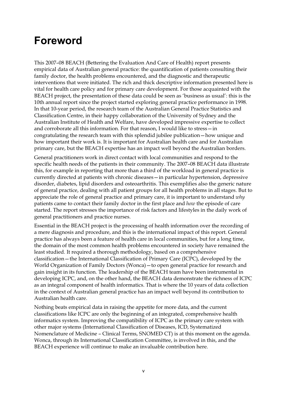### **Foreword**

This 2007–08 BEACH (Bettering the Evaluation And Care of Health) report presents empirical data of Australian general practice: the quantification of patients consulting their family doctor, the health problems encountered, and the diagnostic and therapeutic interventions that were initiated. The rich and thick descriptive information presented here is vital for health care policy and for primary care development. For those acquainted with the BEACH project, the presentation of these data could be seen as 'business as usual': this is the 10th annual report since the project started exploring general practice performance in 1998. In that 10-year period, the research team of the Australian General Practice Statistics and Classification Centre, in their happy collaboration of the University of Sydney and the Australian Institute of Health and Welfare, have developed impressive expertise to collect and corroborate all this information. For that reason, I would like to stress—in congratulating the research team with this splendid jubilee publication—how unique and how important their work is. It is important for Australian health care and for Australian primary care, but the BEACH expertise has an impact well beyond the Australian borders.

General practitioners work in direct contact with local communities and respond to the specific health needs of the patients in their community. The 2007–08 BEACH data illustrate this, for example in reporting that more than a third of the workload in general practice is currently directed at patients with chronic diseases—in particular hypertension, depressive disorder, diabetes, lipid disorders and osteoarthritis. This exemplifies also the generic nature of general practice, dealing with all patient groups for all health problems in all stages. But to appreciate the role of general practice and primary care, it is important to understand *why* patients came to contact their family doctor in the first place and *how* the episode of care started. The report stresses the importance of risk factors and lifestyles in the daily work of general practitioners and practice nurses.

Essential in the BEACH project is the processing of health information over the recording of a mere diagnosis and procedure, and this is the international impact of this report. General practice has always been a feature of health care in local communities, but for a long time, the domain of the most common health problems encountered in society have remained the least studied. It required a thorough methodology, based on a comprehensive classification—the International Classification of Primary Care (ICPC), developed by the World Organization of Family Doctors (Wonca)—to open general practice for research and gain insight in its function. The leadership of the BEACH team have been instrumental in developing ICPC, and, on the other hand, the BEACH data demonstrate the richness of ICPC as an integral component of health informatics. That is where the 10 years of data collection in the context of Australian general practice has an impact well beyond its contribution to Australian health care.

Nothing beats empirical data in raising the appetite for more data, and the current classifications like ICPC are only the beginning of an integrated, comprehensive health informatics system. Improving the compatibility of ICPC as the primary care system with other major systems (International Classification of Diseases, ICD, Systematized Nomenclature of Medicine – Clinical Terms, SNOMED CT) is at this moment on the agenda. Wonca, through its International Classification Committee, is involved in this, and the BEACH experience will continue to make an invaluable contribution here.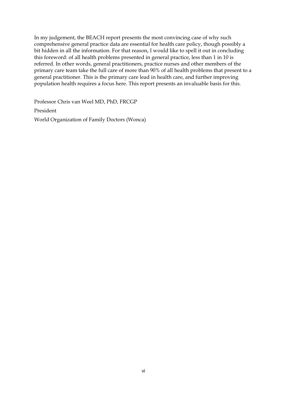In my judgement, the BEACH report presents the most convincing case of why such comprehensive general practice data are essential for health care policy, though possibly a bit hidden in all the information. For that reason, I would like to spell it out in concluding this foreword: of all health problems presented in general practice, less than 1 in 10 is referred. In other words, general practitioners, practice nurses and other members of the primary care team take the full care of more than 90% of all health problems that present to a general practitioner. This is the primary care lead in health care, and further improving population health requires a focus here. This report presents an invaluable basis for this.

Professor Chris van Weel MD, PhD, FRCGP President World Organization of Family Doctors (Wonca)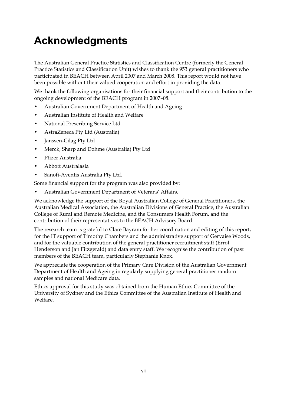# **Acknowledgments**

The Australian General Practice Statistics and Classification Centre (formerly the General Practice Statistics and Classification Unit) wishes to thank the 953 general practitioners who participated in BEACH between April 2007 and March 2008. This report would not have been possible without their valued cooperation and effort in providing the data.

We thank the following organisations for their financial support and their contribution to the ongoing development of the BEACH program in 2007–08.

- Australian Government Department of Health and Ageing
- Australian Institute of Health and Welfare
- National Prescribing Service Ltd
- AstraZeneca Pty Ltd (Australia)
- Janssen-Cilag Pty Ltd
- Merck, Sharp and Dohme (Australia) Pty Ltd
- Pfizer Australia
- Abbott Australasia
- Sanofi-Aventis Australia Pty Ltd.

Some financial support for the program was also provided by:

• Australian Government Department of Veterans' Affairs.

We acknowledge the support of the Royal Australian College of General Practitioners, the Australian Medical Association, the Australian Divisions of General Practice, the Australian College of Rural and Remote Medicine, and the Consumers Health Forum, and the contribution of their representatives to the BEACH Advisory Board.

The research team is grateful to Clare Bayram for her coordination and editing of this report, for the IT support of Timothy Chambers and the administrative support of Gervaise Woods, and for the valuable contribution of the general practitioner recruitment staff (Errol Henderson and Jan Fitzgerald) and data entry staff. We recognise the contribution of past members of the BEACH team, particularly Stephanie Knox.

We appreciate the cooperation of the Primary Care Division of the Australian Government Department of Health and Ageing in regularly supplying general practitioner random samples and national Medicare data.

Ethics approval for this study was obtained from the Human Ethics Committee of the University of Sydney and the Ethics Committee of the Australian Institute of Health and Welfare.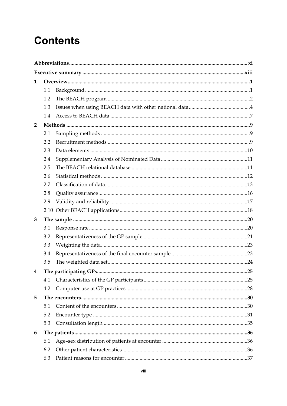### **Contents**

| $\mathbf{1}$   |     |  |  |
|----------------|-----|--|--|
|                | 1.1 |  |  |
|                | 1.2 |  |  |
|                | 1.3 |  |  |
|                | 1.4 |  |  |
| $\overline{2}$ |     |  |  |
|                | 2.1 |  |  |
|                | 2.2 |  |  |
|                | 2.3 |  |  |
|                | 2.4 |  |  |
|                | 2.5 |  |  |
|                | 2.6 |  |  |
|                | 2.7 |  |  |
|                | 2.8 |  |  |
|                | 2.9 |  |  |
|                |     |  |  |
| 3              |     |  |  |
|                | 3.1 |  |  |
|                | 3.2 |  |  |
|                | 3.3 |  |  |
|                | 3.4 |  |  |
|                | 3.5 |  |  |
| 4              |     |  |  |
|                | 4.1 |  |  |
|                | 4.2 |  |  |
| 5              |     |  |  |
|                | 5.1 |  |  |
|                | 5.2 |  |  |
|                | 5.3 |  |  |
| 6              |     |  |  |
|                | 6.1 |  |  |
|                | 6.2 |  |  |
|                | 6.3 |  |  |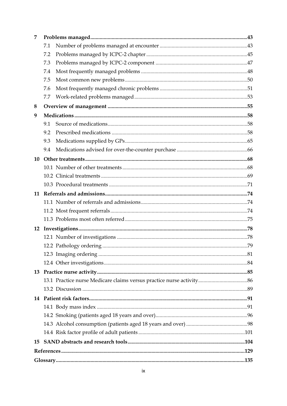| 7  |     |  |  |  |
|----|-----|--|--|--|
|    | 7.1 |  |  |  |
|    | 7.2 |  |  |  |
|    | 7.3 |  |  |  |
|    | 7.4 |  |  |  |
|    | 7.5 |  |  |  |
|    | 7.6 |  |  |  |
|    | 7.7 |  |  |  |
| 8  |     |  |  |  |
| 9  |     |  |  |  |
|    | 9.1 |  |  |  |
|    | 9.2 |  |  |  |
|    | 9.3 |  |  |  |
|    | 9.4 |  |  |  |
| 10 |     |  |  |  |
|    |     |  |  |  |
|    |     |  |  |  |
|    |     |  |  |  |
| 11 |     |  |  |  |
|    |     |  |  |  |
|    |     |  |  |  |
|    |     |  |  |  |
| 12 |     |  |  |  |
|    |     |  |  |  |
|    |     |  |  |  |
|    |     |  |  |  |
|    |     |  |  |  |
| 13 |     |  |  |  |
|    |     |  |  |  |
|    |     |  |  |  |
| 14 |     |  |  |  |
|    |     |  |  |  |
|    |     |  |  |  |
|    |     |  |  |  |
|    |     |  |  |  |
| 15 |     |  |  |  |
|    |     |  |  |  |
|    |     |  |  |  |
|    |     |  |  |  |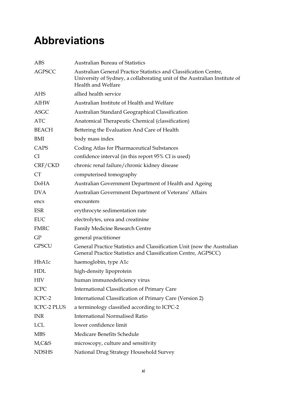### **Abbreviations**

| <b>ABS</b>         | <b>Australian Bureau of Statistics</b>                                                                                                                               |
|--------------------|----------------------------------------------------------------------------------------------------------------------------------------------------------------------|
| <b>AGPSCC</b>      | Australian General Practice Statistics and Classification Centre,<br>University of Sydney, a collaborating unit of the Australian Institute of<br>Health and Welfare |
| AHS                | allied health service                                                                                                                                                |
| AIHW               | Australian Institute of Health and Welfare                                                                                                                           |
| <b>ASGC</b>        | Australian Standard Geographical Classification                                                                                                                      |
| <b>ATC</b>         | Anatomical Therapeutic Chemical (classification)                                                                                                                     |
| <b>BEACH</b>       | Bettering the Evaluation And Care of Health                                                                                                                          |
| BMI                | body mass index                                                                                                                                                      |
| CAPS               | <b>Coding Atlas for Pharmaceutical Substances</b>                                                                                                                    |
| <b>CI</b>          | confidence interval (in this report 95% CI is used)                                                                                                                  |
| CRF/CKD            | chronic renal failure/chronic kidney disease                                                                                                                         |
| <b>CT</b>          | computerised tomography                                                                                                                                              |
| DoHA               | Australian Government Department of Health and Ageing                                                                                                                |
| <b>DVA</b>         | Australian Government Department of Veterans' Affairs                                                                                                                |
| encs               | encounters                                                                                                                                                           |
| <b>ESR</b>         | erythrocyte sedimentation rate                                                                                                                                       |
| <b>EUC</b>         | electrolytes, urea and creatinine                                                                                                                                    |
| <b>FMRC</b>        | Family Medicine Research Centre                                                                                                                                      |
| GP                 | general practitioner                                                                                                                                                 |
| <b>GPSCU</b>       | General Practice Statistics and Classification Unit (now the Australian<br>General Practice Statistics and Classification Centre, AGPSCC)                            |
| HbA1c              | haemoglobin, type A1c                                                                                                                                                |
| <b>HDL</b>         | high-density lipoprotein                                                                                                                                             |
| <b>HIV</b>         | human immunodeficiency virus                                                                                                                                         |
| <b>ICPC</b>        | International Classification of Primary Care                                                                                                                         |
| ICPC-2             | International Classification of Primary Care (Version 2)                                                                                                             |
| <b>ICPC-2 PLUS</b> | a terminology classified according to ICPC-2                                                                                                                         |
| <b>INR</b>         | <b>International Normalised Ratio</b>                                                                                                                                |
| <b>LCL</b>         | lower confidence limit                                                                                                                                               |
| <b>MBS</b>         | Medicare Benefits Schedule                                                                                                                                           |
| M,C&S              | microscopy, culture and sensitivity                                                                                                                                  |
| <b>NDSHS</b>       | National Drug Strategy Household Survey                                                                                                                              |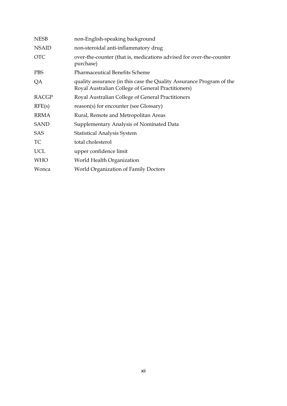| non-English-speaking background                                                                                            |
|----------------------------------------------------------------------------------------------------------------------------|
| non-steroidal anti-inflammatory drug                                                                                       |
| over-the-counter (that is, medications advised for over-the-counter<br>purchase)                                           |
| <b>Pharmaceutical Benefits Scheme</b>                                                                                      |
| quality assurance (in this case the Quality Assurance Program of the<br>Royal Australian College of General Practitioners) |
| Royal Australian College of General Practitioners                                                                          |
| reason(s) for encounter (see Glossary)                                                                                     |
| Rural, Remote and Metropolitan Areas                                                                                       |
| Supplementary Analysis of Nominated Data                                                                                   |
| <b>Statistical Analysis System</b>                                                                                         |
| total cholesterol                                                                                                          |
| upper confidence limit                                                                                                     |
| World Health Organization                                                                                                  |
| <b>World Organization of Family Doctors</b>                                                                                |
|                                                                                                                            |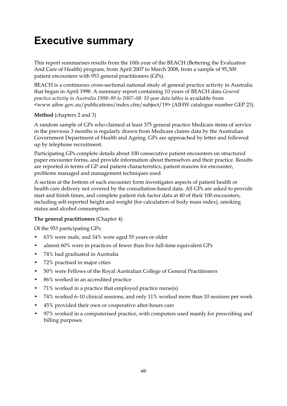### **Executive summary**

This report summarises results from the 10th year of the BEACH (Bettering the Evaluation And Care of Health) program, from April 2007 to March 2008, from a sample of 95,300 patient encounters with 953 general practitioners (GPs).

BEACH is a continuous cross-sectional national study of general practice activity in Australia that began in April 1998. A summary report containing 10 years of BEACH data *General practice activity in Australia 1998–99 to 2007–08: 10 year data tables* is available from <www.aihw.gov.au/publications/index.cfm/subject/19> (AIHW catalogue number GEP 23).

#### **Method** (chapters 2 and 3)

A random sample of GPs who claimed at least 375 general practice Medicare items of service in the previous 3 months is regularly drawn from Medicare claims data by the Australian Government Department of Health and Ageing. GPs are approached by letter and followed up by telephone recruitment.

Participating GPs complete details about 100 consecutive patient encounters on structured paper encounter forms, and provide information about themselves and their practice. Results are reported in terms of GP and patient characteristics, patient reasons for encounter, problems managed and management techniques used.

A section at the bottom of each encounter form investigates aspects of patient health or health care delivery not covered by the consultation-based data. All GPs are asked to provide start and finish times, and complete patient risk factor data at 40 of their 100 encounters, including self-reported height and weight (for calculation of body mass index), smoking status and alcohol consumption.

#### **The general practitioners** (Chapter 4)

Of the 953 participating GPs:

- 63% were male, and 34% were aged 55 years or older
- almost 60% were in practices of fewer than five full-time equivalent GPs
- 74% had graduated in Australia
- 72% practised in major cities
- 50% were Fellows of the Royal Australian College of General Practitioners
- 86% worked in an accredited practice
- 71% worked in a practice that employed practice nurse(s)
- 74% worked 6–10 clinical sessions, and only 11% worked more than 10 sessions per week
- 45% provided their own or cooperative after-hours care
- 97% worked in a computerised practice, with computers used mainly for prescribing and billing purposes.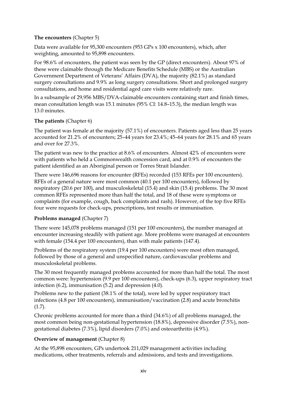#### **The encounters** (Chapter 5)

Data were available for 95,300 encounters (953 GPs x 100 encounters), which, after weighting, amounted to 95,898 encounters.

For 98.6% of encounters, the patient was seen by the GP (direct encounters). About 97% of these were claimable through the Medicare Benefits Schedule (MBS) or the Australian Government Department of Veterans' Affairs (DVA), the majority (82.1%) as standard surgery consultations and 9.9% as long surgery consultations. Short and prolonged surgery consultations, and home and residential aged care visits were relatively rare.

In a subsample of 29,956 MBS/DVA-claimable encounters containing start and finish times, mean consultation length was 15.1 minutes (95% CI: 14.8–15.3), the median length was 13.0 minutes.

#### **The patients** (Chapter 6)

The patient was female at the majority (57.1%) of encounters. Patients aged less than 25 years accounted for 21.2% of encounters; 25–44 years for 23.4%; 45–64 years for 28.1% and 65 years and over for 27.3%.

The patient was new to the practice at 8.6% of encounters. Almost 42% of encounters were with patients who held a Commonwealth concession card, and at 0.9% of encounters the patient identified as an Aboriginal person or Torres Strait Islander.

There were 146,696 reasons for encounter (RFEs) recorded (153 RFEs per 100 encounters). RFEs of a general nature were most common (40.1 per 100 encounters), followed by respiratory (20.6 per 100), and musculoskeletal (15.4) and skin (15.4) problems. The 30 most common RFEs represented more than half the total, and 18 of these were symptoms or complaints (for example, cough, back complaints and rash). However, of the top five RFEs four were requests for check-ups, prescriptions, test results or immunisation.

#### **Problems managed** (Chapter 7)

There were 145,078 problems managed (151 per 100 encounters), the number managed at encounter increasing steadily with patient age. More problems were managed at encounters with female (154.4 per 100 encounters), than with male patients (147.4).

Problems of the respiratory system (19.4 per 100 encounters) were most often managed, followed by those of a general and unspecified nature, cardiovascular problems and musculoskeletal problems.

The 30 most frequently managed problems accounted for more than half the total. The most common were: hypertension (9.9 per 100 encounters), check-ups (6.3), upper respiratory tract infection (6.2), immunisation (5.2) and depression (4.0).

Problems new to the patient (38.1% of the total), were led by upper respiratory tract infections (4.8 per 100 encounters), immunisation/vaccination (2.8) and acute bronchitis (1.7).

Chronic problems accounted for more than a third (34.6%) of all problems managed, the most common being non-gestational hypertension (18.8%), depressive disorder (7.5%), nongestational diabetes (7.3%), lipid disorders (7.0%) and osteoarthritis (4.9%).

#### **Overview of management** (Chapter 8)

At the 95,898 encounters, GPs undertook 211,029 management activities including medications, other treatments, referrals and admissions, and tests and investigations.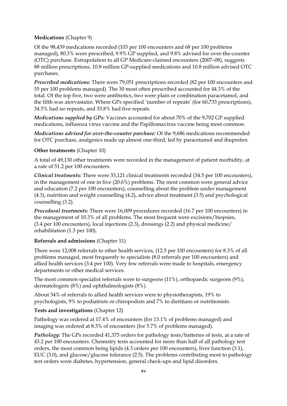#### **Medications** (Chapter 9)

Of the 98,439 medications recorded (103 per 100 encounters and 68 per 100 problems managed), 80.3% were prescribed, 9.9% GP supplied, and 9.8% advised for over-the-counter (OTC) purchase. Extrapolation to all GP Medicare-claimed encounters (2007–08), suggests 88 million prescriptions, 10.8 million GP-supplied medications and 10.8 million advised OTC purchases.

*Prescribed medications:* There were 79,051 prescriptions recorded (82 per 100 encounters and 55 per 100 problems managed). The 30 most often prescribed accounted for 44.3% of the total. Of the top five, two were antibiotics, two were plain or combination paracetamol, and the fifth was atorvastatin. Where GPs specified 'number of repeats' (for 60,733 prescriptions), 34.5% had no repeats, and 33.8% had five repeats.

*Medications supplied by GPs:* Vaccines accounted for about 70% of the 9,702 GP supplied medications, influenza virus vaccine and the Papillomavirus vaccine being most common.

*Medications advised for over-the-counter purchase:* Of the 9,686 medications recommended for OTC purchase, analgesics made up almost one-third, led by paracetamol and ibuprofen.

#### **Other treatments** (Chapter 10)

A total of 49,130 other treatments were recorded in the management of patient morbidity, at a rate of 51.2 per 100 encounters.

*Clinical treatments:* There were 33,121 clinical treatments recorded (34.5 per 100 encounters), in the management of one in five (20.6%) problems. The most common were general advice and education (7.2 per 100 encounters), counselling about the problem under management (4.3), nutrition and weight counselling (4.2), advice about treatment (3.5) and psychological counselling (3.2).

*Procedural treatments:* There were 16,009 procedures recorded (16.7 per 100 encounters) in the management of 10.3% of all problems. The most frequent were excisions/biopsies, (3.4 per 100 encounters), local injections (2.3), dressings (2.2) and physical medicine/ rehabilitation (1.3 per 100).

#### **Referrals and admissions** (Chapter 11)

There were 12,008 referrals to other health services, (12.5 per 100 encounters) for 8.3% of all problems managed, most frequently to specialists (8.0 referrals per 100 encounters) and allied health services (3.4 per 100). Very few referrals were made to hospitals, emergency departments or other medical services.

The most common specialist referrals were to surgeons (11%), orthopaedic surgeons (9%), dermatologists (8%) and ophthalmologists (8%).

About 34% of referrals to allied health services were to physiotherapists, 19% to psychologists, 9% to podiatrists or chiropodists and 7% to dietitians or nutritionists.

#### **Tests and investigations** (Chapter 12)

Pathology was ordered at 17.4% of encounters (for 13.1% of problems managed) and imaging was ordered at 8.3% of encounters (for 5.7% of problems managed).

*Pathology:* The GPs recorded 41,375 orders for pathology tests/batteries of tests, at a rate of 43.2 per 100 encounters. Chemistry tests accounted for more than half of all pathology test orders, the most common being lipids (4.3 orders per 100 encounters), liver function (3.1), EUC (3.0), and glucose/glucose tolerance (2.5). The problems contributing most to pathology test orders were diabetes, hypertension, general check-ups and lipid disorders.